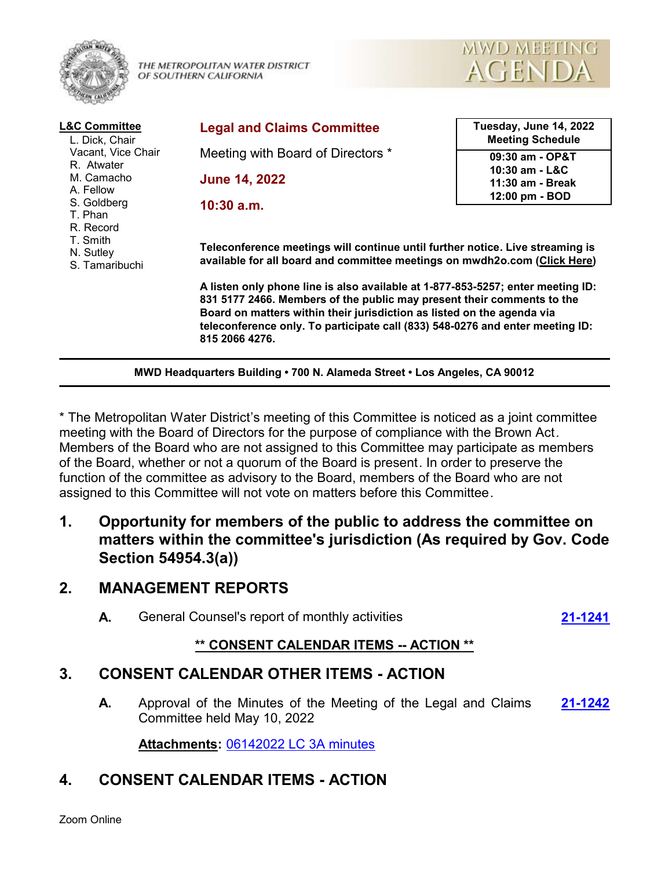

THE METROPOLITAN WATER DISTRICT OF SOUTHERN CALIFORNIA



| <b>L&amp;C Committee</b><br>L. Dick, Chair<br>Vacant, Vice Chair<br>R. Atwater<br>M. Camacho<br>A. Fellow<br>S. Goldberg<br>T. Phan<br>R. Record<br>T. Smith<br>N. Sutley<br>S. Tamaribuchi | <b>Legal and Claims Committee</b>                                                                                                                                                                                                                                                                                                      | Tuesday, June 14, 2022<br><b>Meeting Schedule</b>    |
|---------------------------------------------------------------------------------------------------------------------------------------------------------------------------------------------|----------------------------------------------------------------------------------------------------------------------------------------------------------------------------------------------------------------------------------------------------------------------------------------------------------------------------------------|------------------------------------------------------|
|                                                                                                                                                                                             | Meeting with Board of Directors *                                                                                                                                                                                                                                                                                                      | 09:30 am - OP&T                                      |
|                                                                                                                                                                                             | <b>June 14, 2022</b>                                                                                                                                                                                                                                                                                                                   | 10:30 am - L&C<br>11:30 am - Break<br>12:00 pm - BOD |
|                                                                                                                                                                                             | $10:30$ a.m.                                                                                                                                                                                                                                                                                                                           |                                                      |
|                                                                                                                                                                                             | Teleconference meetings will continue until further notice. Live streaming is<br>available for all board and committee meetings on mwdh2o.com (Click Here)                                                                                                                                                                             |                                                      |
|                                                                                                                                                                                             | A listen only phone line is also available at 1-877-853-5257; enter meeting ID:<br>831 5177 2466. Members of the public may present their comments to the<br>Board on matters within their jurisdiction as listed on the agenda via<br>teleconference only. To participate call (833) 548-0276 and enter meeting ID:<br>815 2066 4276. |                                                      |

**MWD Headquarters Building • 700 N. Alameda Street • Los Angeles, CA 90012**

\* The Metropolitan Water District's meeting of this Committee is noticed as a joint committee meeting with the Board of Directors for the purpose of compliance with the Brown Act. Members of the Board who are not assigned to this Committee may participate as members of the Board, whether or not a quorum of the Board is present. In order to preserve the function of the committee as advisory to the Board, members of the Board who are not assigned to this Committee will not vote on matters before this Committee.

**1. Opportunity for members of the public to address the committee on matters within the committee's jurisdiction (As required by Gov. Code Section 54954.3(a))**

# **2. MANAGEMENT REPORTS**

**A.** General Counsel's report of monthly activities **[21-1241](http://mwdh2o.legistar.com/gateway.aspx?m=l&id=/matter.aspx?key=2333)**

## **\*\* CONSENT CALENDAR ITEMS -- ACTION \*\***

# **3. CONSENT CALENDAR OTHER ITEMS - ACTION**

**A.** Approval of the Minutes of the Meeting of the Legal and Claims **[21-1242](http://mwdh2o.legistar.com/gateway.aspx?m=l&id=/matter.aspx?key=2334)** Committee held May 10, 2022

**Attachments:** [06142022 LC 3A minutes](http://mwdh2o.legistar.com/gateway.aspx?M=F&ID=49a7da37-517e-4adb-afee-524c971fc9c4.pdf)

# **4. CONSENT CALENDAR ITEMS - ACTION**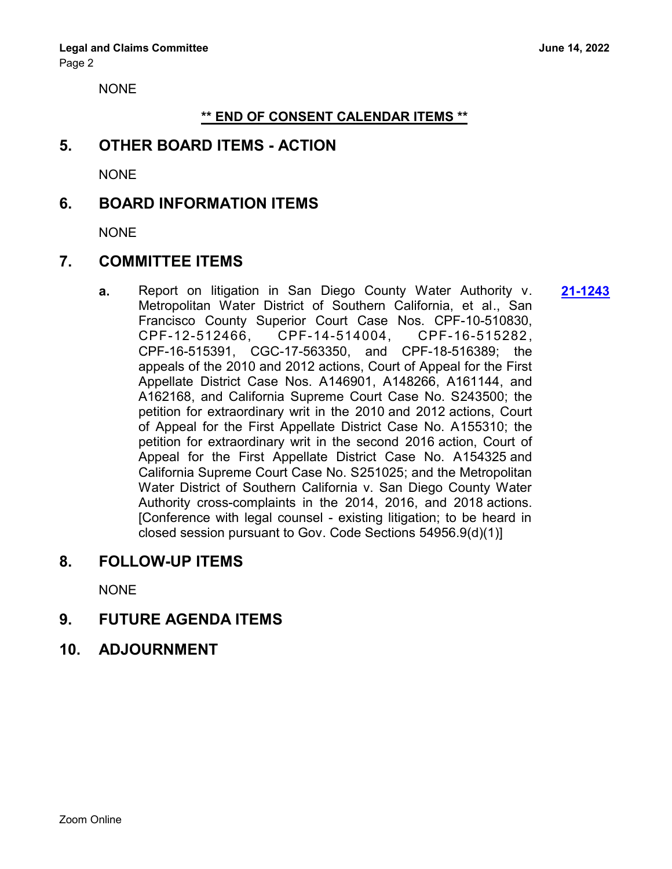NONE

#### **\*\* END OF CONSENT CALENDAR ITEMS \*\***

### **5. OTHER BOARD ITEMS - ACTION**

NONE

#### **6. BOARD INFORMATION ITEMS**

NONE

## **7. COMMITTEE ITEMS**

**a.** Report on litigation in San Diego County Water Authority v. **[21-1243](http://mwdh2o.legistar.com/gateway.aspx?m=l&id=/matter.aspx?key=2335)** Metropolitan Water District of Southern California, et al., San Francisco County Superior Court Case Nos. CPF-10-510830, CPF-12-512466, CPF-14-514004, CPF-16-515282 , CPF-16-515391, CGC-17-563350, and CPF-18-516389; the appeals of the 2010 and 2012 actions, Court of Appeal for the First Appellate District Case Nos. A146901, A148266, A161144, and A162168, and California Supreme Court Case No. S243500; the petition for extraordinary writ in the 2010 and 2012 actions, Court of Appeal for the First Appellate District Case No. A155310; the petition for extraordinary writ in the second 2016 action, Court of Appeal for the First Appellate District Case No. A154325 and California Supreme Court Case No. S251025; and the Metropolitan Water District of Southern California v. San Diego County Water Authority cross-complaints in the 2014, 2016, and 2018 actions. [Conference with legal counsel - existing litigation; to be heard in closed session pursuant to Gov. Code Sections 54956.9(d)(1)]

#### **8. FOLLOW-UP ITEMS**

NONE

## **9. FUTURE AGENDA ITEMS**

**10. ADJOURNMENT**